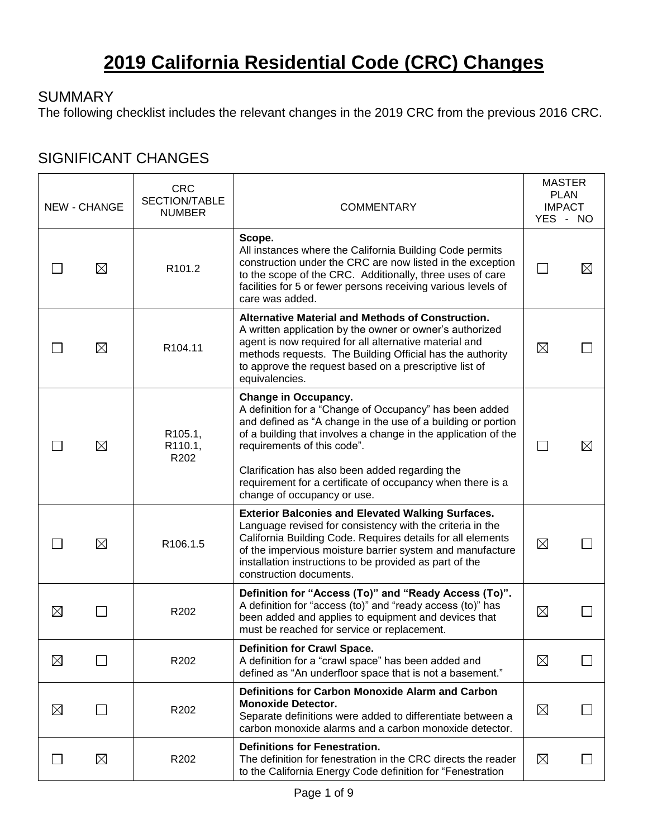# **2019 California Residential Code (CRC) Changes**

#### **SUMMARY**

The following checklist includes the relevant changes in the 2019 CRC from the previous 2016 CRC.

#### SIGNIFICANT CHANGES

|             | <b>NEW - CHANGE</b> | <b>CRC</b><br>SECTION/TABLE<br><b>NUMBER</b> | <b>COMMENTARY</b>                                                                                                                                                                                                                                                                                                                                                                                |                | <b>MASTER</b><br><b>PLAN</b><br><b>IMPACT</b><br>YES - NO |
|-------------|---------------------|----------------------------------------------|--------------------------------------------------------------------------------------------------------------------------------------------------------------------------------------------------------------------------------------------------------------------------------------------------------------------------------------------------------------------------------------------------|----------------|-----------------------------------------------------------|
|             | $\boxtimes$         | R101.2                                       | Scope.<br>All instances where the California Building Code permits<br>construction under the CRC are now listed in the exception<br>to the scope of the CRC. Additionally, three uses of care<br>facilities for 5 or fewer persons receiving various levels of<br>care was added.                                                                                                                |                |                                                           |
|             | $\boxtimes$         | R104.11                                      | Alternative Material and Methods of Construction.<br>A written application by the owner or owner's authorized<br>agent is now required for all alternative material and<br>methods requests. The Building Official has the authority<br>to approve the request based on a prescriptive list of<br>equivalencies.                                                                                 | $\boxtimes$    |                                                           |
|             | ⊠                   | R <sub>105.1</sub> ,<br>R110.1,<br>R202      | Change in Occupancy.<br>A definition for a "Change of Occupancy" has been added<br>and defined as "A change in the use of a building or portion<br>of a building that involves a change in the application of the<br>requirements of this code".<br>Clarification has also been added regarding the<br>requirement for a certificate of occupancy when there is a<br>change of occupancy or use. | $\blacksquare$ | X                                                         |
|             | $\boxtimes$         | R106.1.5                                     | <b>Exterior Balconies and Elevated Walking Surfaces.</b><br>Language revised for consistency with the criteria in the<br>California Building Code. Requires details for all elements<br>of the impervious moisture barrier system and manufacture<br>installation instructions to be provided as part of the<br>construction documents.                                                          | $\boxtimes$    |                                                           |
| $\boxtimes$ |                     | R202                                         | Definition for "Access (To)" and "Ready Access (To)".<br>A definition for "access (to)" and "ready access (to)" has<br>been added and applies to equipment and devices that<br>must be reached for service or replacement.                                                                                                                                                                       | $\boxtimes$    |                                                           |
| ⊠           |                     | R202                                         | <b>Definition for Crawl Space.</b><br>A definition for a "crawl space" has been added and<br>defined as "An underfloor space that is not a basement."                                                                                                                                                                                                                                            | $\boxtimes$    |                                                           |
| $\boxtimes$ |                     | R202                                         | Definitions for Carbon Monoxide Alarm and Carbon<br><b>Monoxide Detector.</b><br>Separate definitions were added to differentiate between a<br>carbon monoxide alarms and a carbon monoxide detector.                                                                                                                                                                                            | $\boxtimes$    |                                                           |
|             | $\boxtimes$         | R202                                         | <b>Definitions for Fenestration.</b><br>The definition for fenestration in the CRC directs the reader<br>to the California Energy Code definition for "Fenestration"                                                                                                                                                                                                                             | $\boxtimes$    |                                                           |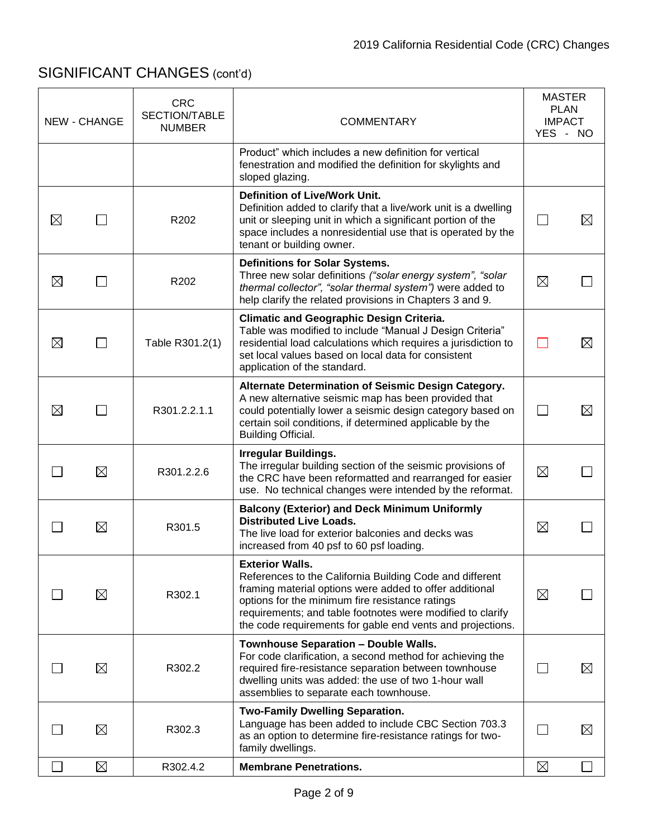|             | <b>NEW - CHANGE</b> | <b>CRC</b><br>SECTION/TABLE<br><b>NUMBER</b> | <b>COMMENTARY</b>                                                                                                                                                                                                                                                                                                            |                | <b>MASTER</b><br><b>PLAN</b><br><b>IMPACT</b><br>YES - NO |
|-------------|---------------------|----------------------------------------------|------------------------------------------------------------------------------------------------------------------------------------------------------------------------------------------------------------------------------------------------------------------------------------------------------------------------------|----------------|-----------------------------------------------------------|
|             |                     |                                              | Product" which includes a new definition for vertical<br>fenestration and modified the definition for skylights and<br>sloped glazing.                                                                                                                                                                                       |                |                                                           |
| $\boxtimes$ |                     | R202                                         | <b>Definition of Live/Work Unit.</b><br>Definition added to clarify that a live/work unit is a dwelling<br>unit or sleeping unit in which a significant portion of the<br>space includes a nonresidential use that is operated by the<br>tenant or building owner.                                                           |                | X                                                         |
| $\boxtimes$ |                     | R <sub>202</sub>                             | <b>Definitions for Solar Systems.</b><br>Three new solar definitions ("solar energy system", "solar<br>thermal collector", "solar thermal system") were added to<br>help clarify the related provisions in Chapters 3 and 9.                                                                                                 | $\boxtimes$    |                                                           |
| ⊠           | $\blacksquare$      | Table R301.2(1)                              | <b>Climatic and Geographic Design Criteria.</b><br>Table was modified to include "Manual J Design Criteria"<br>residential load calculations which requires a jurisdiction to<br>set local values based on local data for consistent<br>application of the standard.                                                         |                | ⊠                                                         |
| $\boxtimes$ |                     | R301.2.2.1.1                                 | Alternate Determination of Seismic Design Category.<br>A new alternative seismic map has been provided that<br>could potentially lower a seismic design category based on<br>certain soil conditions, if determined applicable by the<br><b>Building Official.</b>                                                           | $\blacksquare$ | $\boxtimes$                                               |
|             | $\boxtimes$         | R301.2.2.6                                   | <b>Irregular Buildings.</b><br>The irregular building section of the seismic provisions of<br>the CRC have been reformatted and rearranged for easier<br>use. No technical changes were intended by the reformat.                                                                                                            | $\boxtimes$    |                                                           |
|             | $\boxtimes$         | R301.5                                       | <b>Balcony (Exterior) and Deck Minimum Uniformly</b><br><b>Distributed Live Loads.</b><br>The live load for exterior balconies and decks was<br>increased from 40 psf to 60 psf loading.                                                                                                                                     | $\boxtimes$    |                                                           |
|             | $\boxtimes$         | R302.1                                       | <b>Exterior Walls.</b><br>References to the California Building Code and different<br>framing material options were added to offer additional<br>options for the minimum fire resistance ratings<br>requirements; and table footnotes were modified to clarify<br>the code requirements for gable end vents and projections. | $\boxtimes$    |                                                           |
|             | $\boxtimes$         | R302.2                                       | Townhouse Separation - Double Walls.<br>For code clarification, a second method for achieving the<br>required fire-resistance separation between townhouse<br>dwelling units was added: the use of two 1-hour wall<br>assemblies to separate each townhouse.                                                                 |                | $\bowtie$                                                 |
|             | $\boxtimes$         | R302.3                                       | <b>Two-Family Dwelling Separation.</b><br>Language has been added to include CBC Section 703.3<br>as an option to determine fire-resistance ratings for two-<br>family dwellings.                                                                                                                                            |                | $\bowtie$                                                 |
|             | $\boxtimes$         | R302.4.2                                     | <b>Membrane Penetrations.</b>                                                                                                                                                                                                                                                                                                | $\boxtimes$    |                                                           |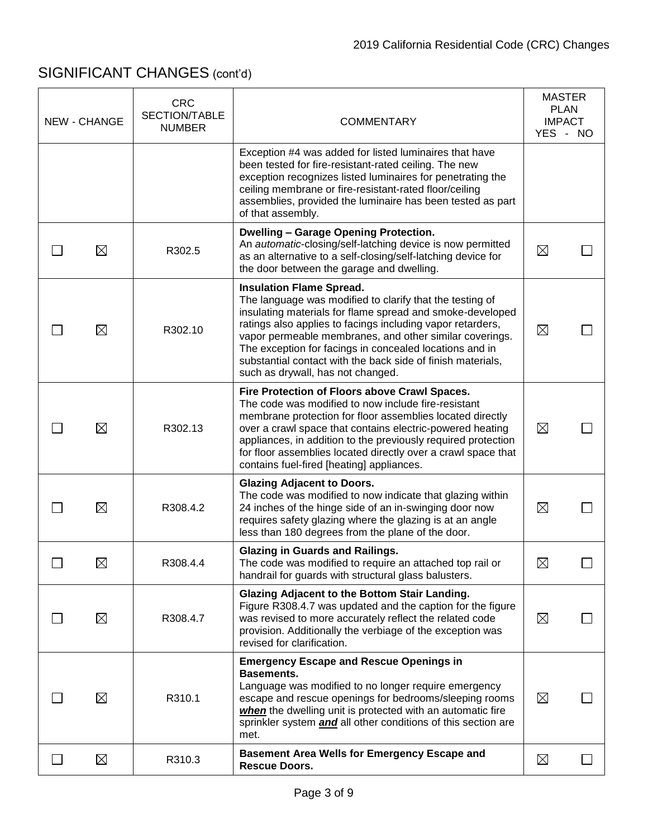|    | <b>NEW - CHANGE</b> | <b>CRC</b><br><b>SECTION/TABLE</b><br><b>NUMBER</b> | <b>COMMENTARY</b>                                                                                                                                                                                                                                                                                                                                                                                                                                | <b>MASTER</b><br><b>PLAN</b><br><b>IMPACT</b><br>YES - NO |  |
|----|---------------------|-----------------------------------------------------|--------------------------------------------------------------------------------------------------------------------------------------------------------------------------------------------------------------------------------------------------------------------------------------------------------------------------------------------------------------------------------------------------------------------------------------------------|-----------------------------------------------------------|--|
|    |                     |                                                     | Exception #4 was added for listed luminaires that have<br>been tested for fire-resistant-rated ceiling. The new<br>exception recognizes listed luminaires for penetrating the<br>ceiling membrane or fire-resistant-rated floor/ceiling<br>assemblies, provided the luminaire has been tested as part<br>of that assembly.                                                                                                                       |                                                           |  |
|    | $\boxtimes$         | R302.5                                              | <b>Dwelling - Garage Opening Protection.</b><br>An automatic-closing/self-latching device is now permitted<br>as an alternative to a self-closing/self-latching device for<br>the door between the garage and dwelling.                                                                                                                                                                                                                          | $\boxtimes$                                               |  |
|    | $\boxtimes$         | R302.10                                             | <b>Insulation Flame Spread.</b><br>The language was modified to clarify that the testing of<br>insulating materials for flame spread and smoke-developed<br>ratings also applies to facings including vapor retarders,<br>vapor permeable membranes, and other similar coverings.<br>The exception for facings in concealed locations and in<br>substantial contact with the back side of finish materials,<br>such as drywall, has not changed. | $\boxtimes$                                               |  |
|    | $\boxtimes$         | R302.13                                             | Fire Protection of Floors above Crawl Spaces.<br>The code was modified to now include fire-resistant<br>membrane protection for floor assemblies located directly<br>over a crawl space that contains electric-powered heating<br>appliances, in addition to the previously required protection<br>for floor assemblies located directly over a crawl space that<br>contains fuel-fired [heating] appliances.                                    | $\boxtimes$                                               |  |
|    | $\boxtimes$         | R308.4.2                                            | <b>Glazing Adjacent to Doors.</b><br>The code was modified to now indicate that glazing within<br>24 inches of the hinge side of an in-swinging door now<br>requires safety glazing where the glazing is at an angle<br>less than 180 degrees from the plane of the door.                                                                                                                                                                        | $\boxtimes$                                               |  |
|    | $\boxtimes$         | R308.4.4                                            | <b>Glazing in Guards and Railings.</b><br>The code was modified to require an attached top rail or<br>handrail for guards with structural glass balusters.                                                                                                                                                                                                                                                                                       | $\boxtimes$                                               |  |
|    | $\boxtimes$         | R308.4.7                                            | Glazing Adjacent to the Bottom Stair Landing.<br>Figure R308.4.7 was updated and the caption for the figure<br>was revised to more accurately reflect the related code<br>provision. Additionally the verbiage of the exception was<br>revised for clarification.                                                                                                                                                                                | $\boxtimes$                                               |  |
|    | $\boxtimes$         | R310.1                                              | <b>Emergency Escape and Rescue Openings in</b><br><b>Basements.</b><br>Language was modified to no longer require emergency<br>escape and rescue openings for bedrooms/sleeping rooms<br>when the dwelling unit is protected with an automatic fire<br>sprinkler system <i>and</i> all other conditions of this section are<br>met.                                                                                                              | $\boxtimes$                                               |  |
| L. | $\boxtimes$         | R310.3                                              | <b>Basement Area Wells for Emergency Escape and</b><br><b>Rescue Doors.</b>                                                                                                                                                                                                                                                                                                                                                                      | $\boxtimes$                                               |  |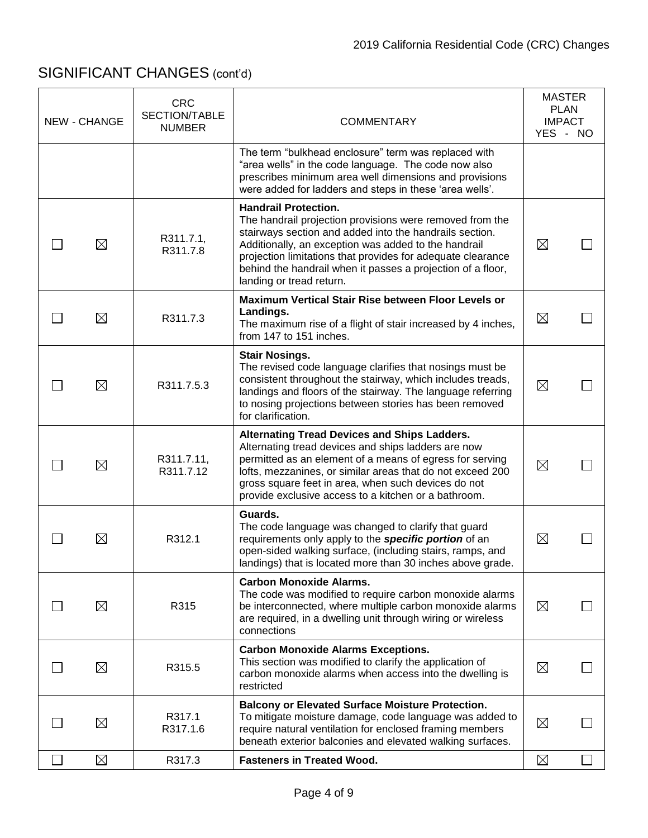| <b>NEW - CHANGE</b> | <b>CRC</b><br>SECTION/TABLE<br><b>NUMBER</b> | <b>COMMENTARY</b>                                                                                                                                                                                                                                                                                                                                                    | <b>MASTER</b><br><b>PLAN</b><br><b>IMPACT</b><br>YES - NO |  |
|---------------------|----------------------------------------------|----------------------------------------------------------------------------------------------------------------------------------------------------------------------------------------------------------------------------------------------------------------------------------------------------------------------------------------------------------------------|-----------------------------------------------------------|--|
|                     |                                              | The term "bulkhead enclosure" term was replaced with<br>"area wells" in the code language. The code now also<br>prescribes minimum area well dimensions and provisions<br>were added for ladders and steps in these 'area wells'.                                                                                                                                    |                                                           |  |
| $\boxtimes$         | R311.7.1,<br>R311.7.8                        | <b>Handrail Protection.</b><br>The handrail projection provisions were removed from the<br>stairways section and added into the handrails section.<br>Additionally, an exception was added to the handrail<br>projection limitations that provides for adequate clearance<br>behind the handrail when it passes a projection of a floor,<br>landing or tread return. | $\boxtimes$                                               |  |
| $\boxtimes$         | R311.7.3                                     | Maximum Vertical Stair Rise between Floor Levels or<br>Landings.<br>The maximum rise of a flight of stair increased by 4 inches,<br>from 147 to 151 inches.                                                                                                                                                                                                          | $\boxtimes$                                               |  |
| $\boxtimes$         | R311.7.5.3                                   | <b>Stair Nosings.</b><br>The revised code language clarifies that nosings must be<br>consistent throughout the stairway, which includes treads,<br>landings and floors of the stairway. The language referring<br>to nosing projections between stories has been removed<br>for clarification.                                                                       | $\boxtimes$                                               |  |
| $\boxtimes$         | R311.7.11,<br>R311.7.12                      | <b>Alternating Tread Devices and Ships Ladders.</b><br>Alternating tread devices and ships ladders are now<br>permitted as an element of a means of egress for serving<br>lofts, mezzanines, or similar areas that do not exceed 200<br>gross square feet in area, when such devices do not<br>provide exclusive access to a kitchen or a bathroom.                  | $\boxtimes$                                               |  |
| $\boxtimes$         | R312.1                                       | Guards.<br>The code language was changed to clarify that guard<br>requirements only apply to the specific portion of an<br>open-sided walking surface, (including stairs, ramps, and<br>landings) that is located more than 30 inches above grade.                                                                                                                   | $\boxtimes$                                               |  |
| $\boxtimes$         | R315                                         | <b>Carbon Monoxide Alarms.</b><br>The code was modified to require carbon monoxide alarms<br>be interconnected, where multiple carbon monoxide alarms<br>are required, in a dwelling unit through wiring or wireless<br>connections                                                                                                                                  | $\boxtimes$                                               |  |
| $\boxtimes$         | R315.5                                       | <b>Carbon Monoxide Alarms Exceptions.</b><br>This section was modified to clarify the application of<br>carbon monoxide alarms when access into the dwelling is<br>restricted                                                                                                                                                                                        | $\boxtimes$                                               |  |
| $\boxtimes$         | R317.1<br>R317.1.6                           | <b>Balcony or Elevated Surface Moisture Protection.</b><br>To mitigate moisture damage, code language was added to<br>require natural ventilation for enclosed framing members<br>beneath exterior balconies and elevated walking surfaces.                                                                                                                          | $\boxtimes$                                               |  |
| $\boxtimes$         | R317.3                                       | <b>Fasteners in Treated Wood.</b>                                                                                                                                                                                                                                                                                                                                    | $\boxtimes$                                               |  |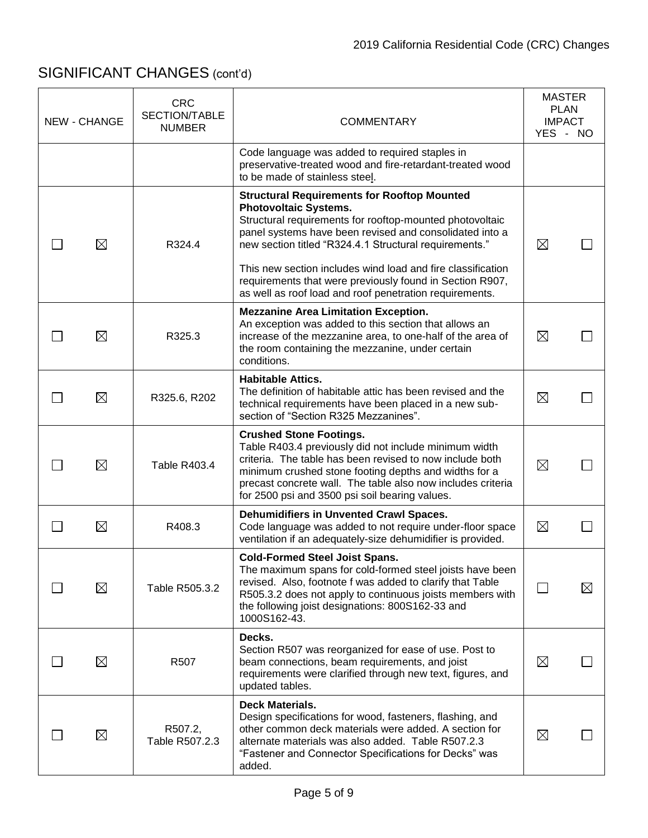| <b>NEW - CHANGE</b> | <b>CRC</b><br>SECTION/TABLE<br><b>NUMBER</b> | <b>COMMENTARY</b>                                                                                                                                                                                                                                                                                                                                                                              |             | <b>MASTER</b><br><b>PLAN</b><br><b>IMPACT</b><br>YES - NO |
|---------------------|----------------------------------------------|------------------------------------------------------------------------------------------------------------------------------------------------------------------------------------------------------------------------------------------------------------------------------------------------------------------------------------------------------------------------------------------------|-------------|-----------------------------------------------------------|
|                     |                                              | Code language was added to required staples in<br>preservative-treated wood and fire-retardant-treated wood<br>to be made of stainless steel.                                                                                                                                                                                                                                                  |             |                                                           |
| $\boxtimes$         | R324.4                                       | <b>Structural Requirements for Rooftop Mounted</b><br><b>Photovoltaic Systems.</b><br>Structural requirements for rooftop-mounted photovoltaic<br>panel systems have been revised and consolidated into a<br>new section titled "R324.4.1 Structural requirements."<br>This new section includes wind load and fire classification<br>requirements that were previously found in Section R907, | $\boxtimes$ |                                                           |
|                     |                                              | as well as roof load and roof penetration requirements.<br><b>Mezzanine Area Limitation Exception.</b>                                                                                                                                                                                                                                                                                         |             |                                                           |
| $\boxtimes$         | R325.3                                       | An exception was added to this section that allows an<br>increase of the mezzanine area, to one-half of the area of<br>the room containing the mezzanine, under certain<br>conditions.                                                                                                                                                                                                         | $\boxtimes$ |                                                           |
| ⊠                   | R325.6, R202                                 | <b>Habitable Attics.</b><br>The definition of habitable attic has been revised and the<br>technical requirements have been placed in a new sub-<br>section of "Section R325 Mezzanines".                                                                                                                                                                                                       | $\boxtimes$ |                                                           |
| $\boxtimes$         | <b>Table R403.4</b>                          | <b>Crushed Stone Footings.</b><br>Table R403.4 previously did not include minimum width<br>criteria. The table has been revised to now include both<br>minimum crushed stone footing depths and widths for a<br>precast concrete wall. The table also now includes criteria<br>for 2500 psi and 3500 psi soil bearing values.                                                                  | $\boxtimes$ |                                                           |
| $\boxtimes$         | R408.3                                       | Dehumidifiers in Unvented Crawl Spaces.<br>Code language was added to not require under-floor space<br>ventilation if an adequately-size dehumidifier is provided.                                                                                                                                                                                                                             | $\boxtimes$ |                                                           |
| ⊠                   | Table R505.3.2                               | <b>Cold-Formed Steel Joist Spans.</b><br>The maximum spans for cold-formed steel joists have been<br>revised. Also, footnote f was added to clarify that Table<br>R505.3.2 does not apply to continuous joists members with<br>the following joist designations: 800S162-33 and<br>1000S162-43.                                                                                                |             | ⊠                                                         |
| $\boxtimes$         | R507                                         | Decks.<br>Section R507 was reorganized for ease of use. Post to<br>beam connections, beam requirements, and joist<br>requirements were clarified through new text, figures, and<br>updated tables.                                                                                                                                                                                             | $\boxtimes$ |                                                           |
| $\boxtimes$         | R507.2,<br>Table R507.2.3                    | <b>Deck Materials.</b><br>Design specifications for wood, fasteners, flashing, and<br>other common deck materials were added. A section for<br>alternate materials was also added. Table R507.2.3<br>"Fastener and Connector Specifications for Decks" was<br>added.                                                                                                                           | $\boxtimes$ |                                                           |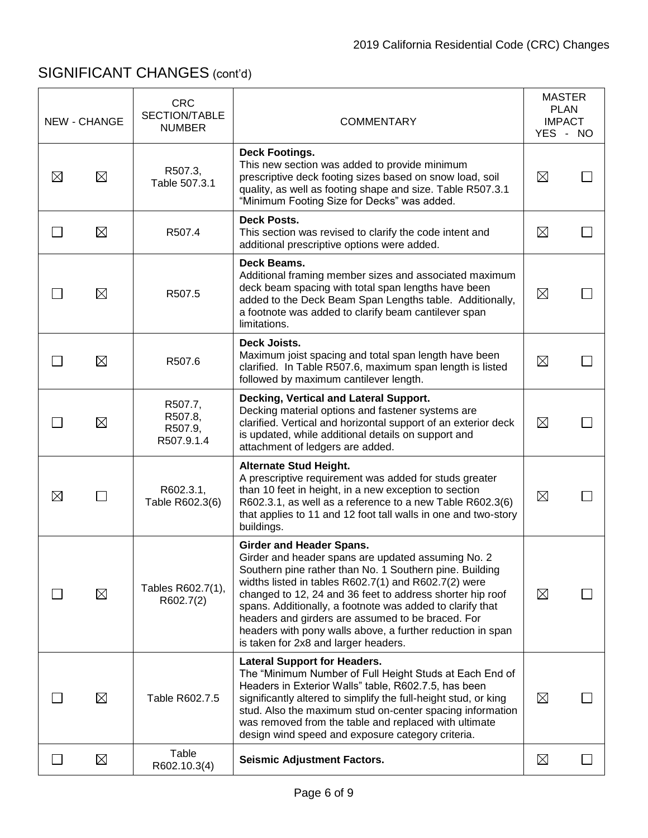|             | <b>NEW - CHANGE</b> | <b>CRC</b><br>SECTION/TABLE<br><b>NUMBER</b> | <b>COMMENTARY</b>                                                                                                                                                                                                                                                                                                                                                                                                                                                                             | <b>MASTER</b><br><b>PLAN</b><br><b>IMPACT</b><br>YES - NO |  |
|-------------|---------------------|----------------------------------------------|-----------------------------------------------------------------------------------------------------------------------------------------------------------------------------------------------------------------------------------------------------------------------------------------------------------------------------------------------------------------------------------------------------------------------------------------------------------------------------------------------|-----------------------------------------------------------|--|
| $\boxtimes$ | $\boxtimes$         | R507.3,<br>Table 507.3.1                     | <b>Deck Footings.</b><br>This new section was added to provide minimum<br>prescriptive deck footing sizes based on snow load, soil<br>quality, as well as footing shape and size. Table R507.3.1<br>"Minimum Footing Size for Decks" was added.                                                                                                                                                                                                                                               | $\boxtimes$                                               |  |
|             | $\boxtimes$         | R507.4                                       | Deck Posts.<br>This section was revised to clarify the code intent and<br>additional prescriptive options were added.                                                                                                                                                                                                                                                                                                                                                                         | $\boxtimes$                                               |  |
|             | $\boxtimes$         | R507.5                                       | Deck Beams.<br>Additional framing member sizes and associated maximum<br>deck beam spacing with total span lengths have been<br>added to the Deck Beam Span Lengths table. Additionally,<br>a footnote was added to clarify beam cantilever span<br>limitations.                                                                                                                                                                                                                              | $\boxtimes$                                               |  |
|             | $\boxtimes$         | R507.6                                       | Deck Joists.<br>Maximum joist spacing and total span length have been<br>clarified. In Table R507.6, maximum span length is listed<br>followed by maximum cantilever length.                                                                                                                                                                                                                                                                                                                  | $\boxtimes$                                               |  |
|             | $\boxtimes$         | R507.7,<br>R507.8,<br>R507.9,<br>R507.9.1.4  | Decking, Vertical and Lateral Support.<br>Decking material options and fastener systems are<br>clarified. Vertical and horizontal support of an exterior deck<br>is updated, while additional details on support and<br>attachment of ledgers are added.                                                                                                                                                                                                                                      | $\boxtimes$                                               |  |
| $\boxtimes$ |                     | R602.3.1,<br>Table R602.3(6)                 | <b>Alternate Stud Height.</b><br>A prescriptive requirement was added for studs greater<br>than 10 feet in height, in a new exception to section<br>R602.3.1, as well as a reference to a new Table R602.3(6)<br>that applies to 11 and 12 foot tall walls in one and two-story<br>buildings.                                                                                                                                                                                                 | $\boxtimes$                                               |  |
|             | $\boxtimes$         | Tables R602.7(1),<br>R602.7(2)               | <b>Girder and Header Spans.</b><br>Girder and header spans are updated assuming No. 2<br>Southern pine rather than No. 1 Southern pine. Building<br>widths listed in tables R602.7(1) and R602.7(2) were<br>changed to 12, 24 and 36 feet to address shorter hip roof<br>spans. Additionally, a footnote was added to clarify that<br>headers and girders are assumed to be braced. For<br>headers with pony walls above, a further reduction in span<br>is taken for 2x8 and larger headers. | $\boxtimes$                                               |  |
|             | $\boxtimes$         | Table R602.7.5                               | <b>Lateral Support for Headers.</b><br>The "Minimum Number of Full Height Studs at Each End of<br>Headers in Exterior Walls" table, R602.7.5, has been<br>significantly altered to simplify the full-height stud, or king<br>stud. Also the maximum stud on-center spacing information<br>was removed from the table and replaced with ultimate<br>design wind speed and exposure category criteria.                                                                                          | $\boxtimes$                                               |  |
|             | $\boxtimes$         | Table<br>R602.10.3(4)                        | <b>Seismic Adjustment Factors.</b>                                                                                                                                                                                                                                                                                                                                                                                                                                                            | $\boxtimes$                                               |  |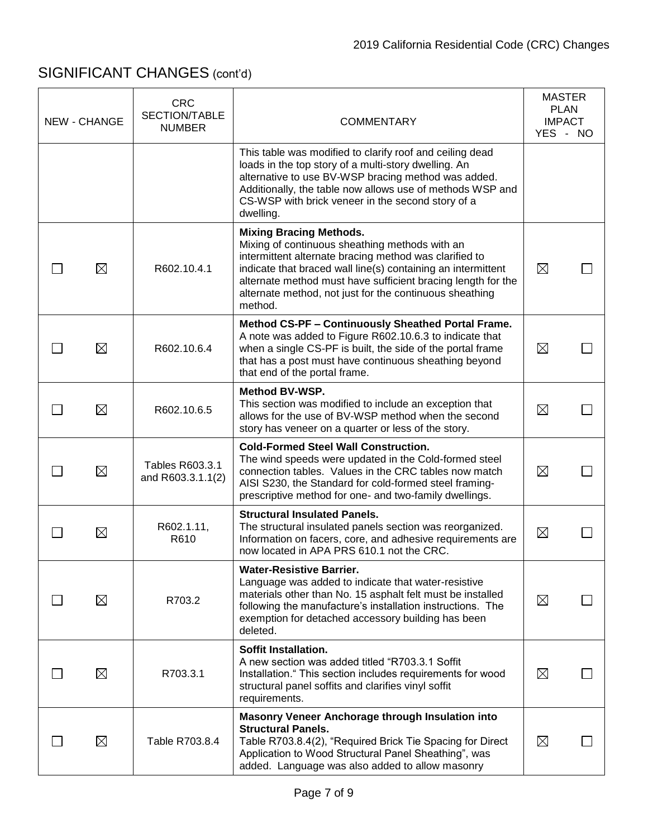| <b>NEW - CHANGE</b> | <b>CRC</b><br>SECTION/TABLE<br><b>NUMBER</b> | <b>COMMENTARY</b>                                                                                                                                                                                                                                                                                                                                | <b>MASTER</b><br><b>PLAN</b><br><b>IMPACT</b> |  |
|---------------------|----------------------------------------------|--------------------------------------------------------------------------------------------------------------------------------------------------------------------------------------------------------------------------------------------------------------------------------------------------------------------------------------------------|-----------------------------------------------|--|
|                     |                                              | This table was modified to clarify roof and ceiling dead<br>loads in the top story of a multi-story dwelling. An<br>alternative to use BV-WSP bracing method was added.<br>Additionally, the table now allows use of methods WSP and<br>CS-WSP with brick veneer in the second story of a<br>dwelling.                                           | YES - NO                                      |  |
| $\boxtimes$         | R602.10.4.1                                  | <b>Mixing Bracing Methods.</b><br>Mixing of continuous sheathing methods with an<br>intermittent alternate bracing method was clarified to<br>indicate that braced wall line(s) containing an intermittent<br>alternate method must have sufficient bracing length for the<br>alternate method, not just for the continuous sheathing<br>method. | $\boxtimes$                                   |  |
| ⊠                   | R602.10.6.4                                  | Method CS-PF - Continuously Sheathed Portal Frame.<br>A note was added to Figure R602.10.6.3 to indicate that<br>when a single CS-PF is built, the side of the portal frame<br>that has a post must have continuous sheathing beyond<br>that end of the portal frame.                                                                            | $\boxtimes$                                   |  |
| $\boxtimes$         | R602.10.6.5                                  | <b>Method BV-WSP.</b><br>This section was modified to include an exception that<br>allows for the use of BV-WSP method when the second<br>story has veneer on a quarter or less of the story.                                                                                                                                                    | $\boxtimes$                                   |  |
| $\boxtimes$         | Tables R603.3.1<br>and R603.3.1.1(2)         | <b>Cold-Formed Steel Wall Construction.</b><br>The wind speeds were updated in the Cold-formed steel<br>connection tables. Values in the CRC tables now match<br>AISI S230, the Standard for cold-formed steel framing-<br>prescriptive method for one- and two-family dwellings.                                                                | $\boxtimes$                                   |  |
| $\boxtimes$         | R602.1.11,<br>R610                           | <b>Structural Insulated Panels.</b><br>The structural insulated panels section was reorganized.<br>Information on facers, core, and adhesive requirements are<br>now located in APA PRS 610.1 not the CRC.                                                                                                                                       | $\boxtimes$                                   |  |
| ⊠                   | R703.2                                       | <b>Water-Resistive Barrier.</b><br>Language was added to indicate that water-resistive<br>materials other than No. 15 asphalt felt must be installed<br>following the manufacture's installation instructions. The<br>exemption for detached accessory building has been<br>deleted.                                                             | $\boxtimes$                                   |  |
| $\boxtimes$         | R703.3.1                                     | Soffit Installation.<br>A new section was added titled "R703.3.1 Soffit<br>Installation." This section includes requirements for wood<br>structural panel soffits and clarifies vinyl soffit<br>requirements.                                                                                                                                    | $\boxtimes$                                   |  |
| $\boxtimes$         | Table R703.8.4                               | Masonry Veneer Anchorage through Insulation into<br><b>Structural Panels.</b><br>Table R703.8.4(2), "Required Brick Tie Spacing for Direct<br>Application to Wood Structural Panel Sheathing", was<br>added. Language was also added to allow masonry                                                                                            | $\boxtimes$                                   |  |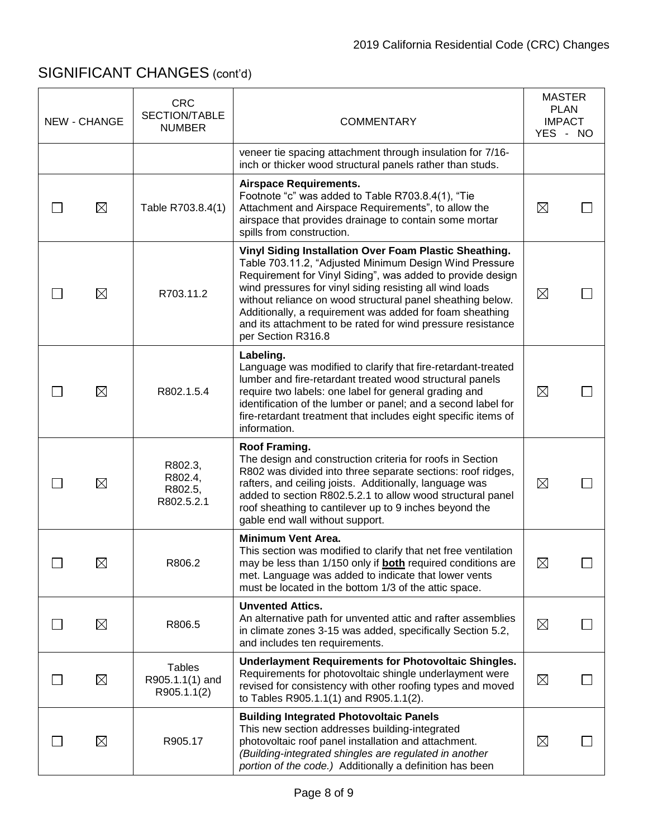| NEW - CHANGE | <b>CRC</b><br>SECTION/TABLE<br><b>NUMBER</b>    | <b>COMMENTARY</b>                                                                                                                                                                                                                                                                                                                                                                                                                                         |             | <b>MASTER</b><br><b>PLAN</b><br><b>IMPACT</b><br>YES - NO |
|--------------|-------------------------------------------------|-----------------------------------------------------------------------------------------------------------------------------------------------------------------------------------------------------------------------------------------------------------------------------------------------------------------------------------------------------------------------------------------------------------------------------------------------------------|-------------|-----------------------------------------------------------|
|              |                                                 | veneer tie spacing attachment through insulation for 7/16-<br>inch or thicker wood structural panels rather than studs.                                                                                                                                                                                                                                                                                                                                   |             |                                                           |
| $\boxtimes$  | Table R703.8.4(1)                               | <b>Airspace Requirements.</b><br>Footnote "c" was added to Table R703.8.4(1), "Tie<br>Attachment and Airspace Requirements", to allow the<br>airspace that provides drainage to contain some mortar<br>spills from construction.                                                                                                                                                                                                                          | $\boxtimes$ |                                                           |
| $\boxtimes$  | R703.11.2                                       | Vinyl Siding Installation Over Foam Plastic Sheathing.<br>Table 703.11.2, "Adjusted Minimum Design Wind Pressure<br>Requirement for Vinyl Siding", was added to provide design<br>wind pressures for vinyl siding resisting all wind loads<br>without reliance on wood structural panel sheathing below.<br>Additionally, a requirement was added for foam sheathing<br>and its attachment to be rated for wind pressure resistance<br>per Section R316.8 | $\boxtimes$ |                                                           |
| $\boxtimes$  | R802.1.5.4                                      | Labeling.<br>Language was modified to clarify that fire-retardant-treated<br>lumber and fire-retardant treated wood structural panels<br>require two labels: one label for general grading and<br>identification of the lumber or panel; and a second label for<br>fire-retardant treatment that includes eight specific items of<br>information.                                                                                                         | $\boxtimes$ |                                                           |
| $\boxtimes$  | R802.3,<br>R802.4,<br>R802.5,<br>R802.5.2.1     | Roof Framing.<br>The design and construction criteria for roofs in Section<br>R802 was divided into three separate sections: roof ridges,<br>rafters, and ceiling joists. Additionally, language was<br>added to section R802.5.2.1 to allow wood structural panel<br>roof sheathing to cantilever up to 9 inches beyond the<br>gable end wall without support.                                                                                           | $\boxtimes$ |                                                           |
| $\boxtimes$  | R806.2                                          | <b>Minimum Vent Area.</b><br>This section was modified to clarify that net free ventilation<br>may be less than 1/150 only if <b>both</b> required conditions are<br>met. Language was added to indicate that lower vents<br>must be located in the bottom 1/3 of the attic space.                                                                                                                                                                        | $\boxtimes$ |                                                           |
| $\boxtimes$  | R806.5                                          | <b>Unvented Attics.</b><br>An alternative path for unvented attic and rafter assemblies<br>in climate zones 3-15 was added, specifically Section 5.2,<br>and includes ten requirements.                                                                                                                                                                                                                                                                   | $\boxtimes$ |                                                           |
| $\boxtimes$  | <b>Tables</b><br>R905.1.1(1) and<br>R905.1.1(2) | <b>Underlayment Requirements for Photovoltaic Shingles.</b><br>Requirements for photovoltaic shingle underlayment were<br>revised for consistency with other roofing types and moved<br>to Tables R905.1.1(1) and R905.1.1(2).                                                                                                                                                                                                                            | $\boxtimes$ |                                                           |
| $\boxtimes$  | R905.17                                         | <b>Building Integrated Photovoltaic Panels</b><br>This new section addresses building-integrated<br>photovoltaic roof panel installation and attachment.<br>(Building-integrated shingles are regulated in another<br>portion of the code.) Additionally a definition has been                                                                                                                                                                            | $\boxtimes$ |                                                           |